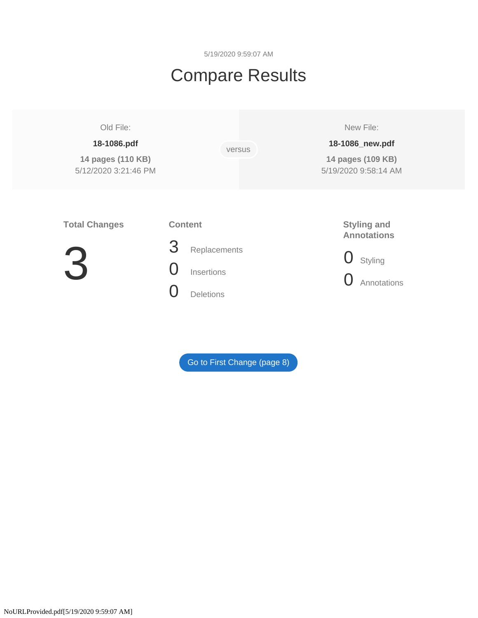5/19/2020 9:59:07 AM

# Compare Results

# Old File:

# **18-1086.pdf**

**14 pages (110 KB)**  5/12/2020 3:21:46 PM versus

New File:

# **18-1086\_new.pdf**

**14 pages (109 KB)**  5/19/2020 9:58:14 AM

# **Total Changes**

# **Content**



3 Replacements 0 Insertions

- 
- 0 Deletions

# **Styling and Annotations**

0 Styling

**O** Annotations

[Go to First Change \(page 8\)](#page-8-0)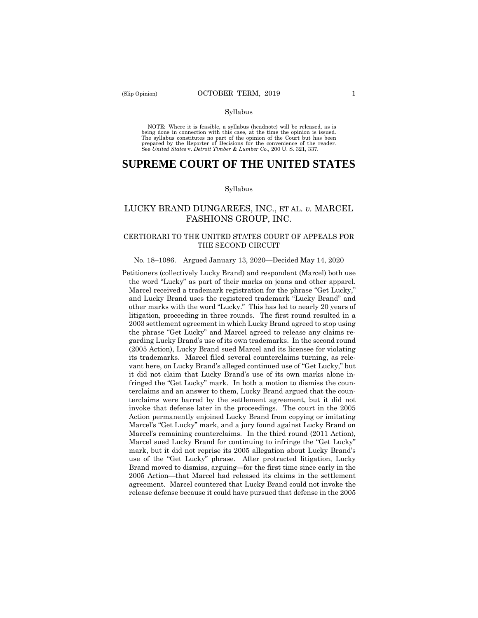#### Syllabus

 NOTE: Where it is feasible, a syllabus (headnote) will be released, as is being done in connection with this case, at the time the opinion is issued. The syllabus constitutes no part of the opinion of the Court but has been<br>prepared by the Reporter of Decisions for the convenience of the reader.<br>See United States v. Detroit Timber & Lumber Co., 200 U.S. 321, 337.

# **SUPREME COURT OF THE UNITED STATES**

#### Syllabus

# LUCKY BRAND DUNGAREES, INC., ET AL. *v.* MARCEL FASHIONS GROUP, INC.

## CERTIORARI TO THE UNITED STATES COURT OF APPEALS FOR THE SECOND CIRCUIT

# No. 18–1086. Argued January 13, 2020—Decided May 14, 2020

Petitioners (collectively Lucky Brand) and respondent (Marcel) both use the word "Lucky" as part of their marks on jeans and other apparel. Marcel received a trademark registration for the phrase "Get Lucky," and Lucky Brand uses the registered trademark "Lucky Brand" and other marks with the word "Lucky." This has led to nearly 20 years of litigation, proceeding in three rounds. The first round resulted in a 2003 settlement agreement in which Lucky Brand agreed to stop using the phrase "Get Lucky" and Marcel agreed to release any claims regarding Lucky Brand's use of its own trademarks. In the second round (2005 Action), Lucky Brand sued Marcel and its licensee for violating its trademarks. Marcel filed several counterclaims turning, as relevant here, on Lucky Brand's alleged continued use of "Get Lucky," but it did not claim that Lucky Brand's use of its own marks alone infringed the "Get Lucky" mark. In both a motion to dismiss the counterclaims and an answer to them, Lucky Brand argued that the counterclaims were barred by the settlement agreement, but it did not invoke that defense later in the proceedings. The court in the 2005 Action permanently enjoined Lucky Brand from copying or imitating Marcel's "Get Lucky" mark, and a jury found against Lucky Brand on Marcel's remaining counterclaims. In the third round (2011 Action), Marcel sued Lucky Brand for continuing to infringe the "Get Lucky" mark, but it did not reprise its 2005 allegation about Lucky Brand's use of the "Get Lucky" phrase. After protracted litigation, Lucky Brand moved to dismiss, arguing—for the first time since early in the 2005 Action—that Marcel had released its claims in the settlement agreement. Marcel countered that Lucky Brand could not invoke the release defense because it could have pursued that defense in the 2005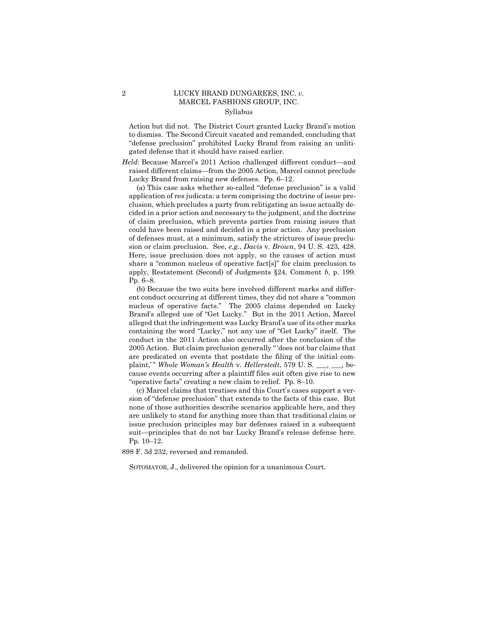# 2 LUCKY BRAND DUNGAREES, INC. *v.*  MARCEL FASHIONS GROUP, INC. Syllabus

Action but did not. The District Court granted Lucky Brand's motion to dismiss. The Second Circuit vacated and remanded, concluding that "defense preclusion" prohibited Lucky Brand from raising an unlitigated defense that it should have raised earlier.

*Held*: Because Marcel's 2011 Action challenged different conduct—and raised different claims—from the 2005 Action, Marcel cannot preclude Lucky Brand from raising new defenses. Pp. 6–12.

(a) This case asks whether so-called "defense preclusion" is a valid application of res judicata: a term comprising the doctrine of issue preclusion, which precludes a party from relitigating an issue actually decided in a prior action and necessary to the judgment, and the doctrine of claim preclusion, which prevents parties from raising issues that could have been raised and decided in a prior action. Any preclusion of defenses must, at a minimum, satisfy the strictures of issue preclusion or claim preclusion. See, *e.g.*, *Davis* v. *Brown*, 94 U. S. 423, 428. Here, issue preclusion does not apply, so the causes of action must share a "common nucleus of operative fact[s]" for claim preclusion to apply, Restatement (Second) of Judgments §24, Comment *b*, p. 199. Pp. 6–8.

(b) Because the two suits here involved different marks and different conduct occurring at different times, they did not share a "common nucleus of operative facts." The 2005 claims depended on Lucky Brand's alleged use of "Get Lucky." But in the 2011 Action, Marcel alleged that the infringement was Lucky Brand's use of its other marks containing the word "Lucky," not any use of "Get Lucky" itself. The conduct in the 2011 Action also occurred after the conclusion of the 2005 Action. But claim preclusion generally " 'does not bar claims that are predicated on events that postdate the filing of the initial complaint," Whole Woman's Health v. Hellerstedt, 579 U.S. \_\_, \_\_, because events occurring after a plaintiff files suit often give rise to new "operative facts" creating a new claim to relief. Pp. 8–10.

(c) Marcel claims that treatises and this Court's cases support a version of "defense preclusion" that extends to the facts of this case. But none of those authorities describe scenarios applicable here, and they are unlikely to stand for anything more than that traditional claim or issue preclusion principles may bar defenses raised in a subsequent suit—principles that do not bar Lucky Brand's release defense here. Pp. 10–12.

898 F. 3d 232, reversed and remanded.

SOTOMAYOR, J., delivered the opinion for a unanimous Court.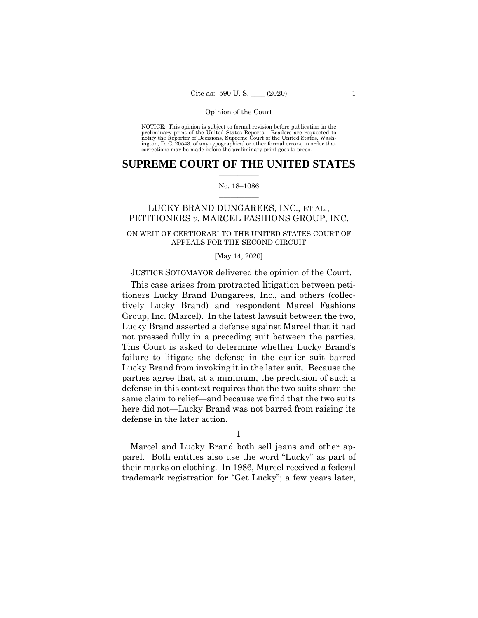NOTICE: This opinion is subject to formal revision before publication in the preliminary print of the United States Reports. Readers are requested to notify the Reporter of Decisions, Supreme Court of the United States, Wash-ington, D. C. 20543, of any typographical or other formal errors, in order that corrections may be made before the preliminary print goes to press.

# $\frac{1}{2}$  , where  $\frac{1}{2}$ **SUPREME COURT OF THE UNITED STATES**

#### $\frac{1}{2}$  ,  $\frac{1}{2}$  ,  $\frac{1}{2}$  ,  $\frac{1}{2}$  ,  $\frac{1}{2}$  ,  $\frac{1}{2}$ No. 18–1086

# LUCKY BRAND DUNGAREES, INC., ET AL., PETITIONERS *v.* MARCEL FASHIONS GROUP, INC.

# ON WRIT OF CERTIORARI TO THE UNITED STATES COURT OF APPEALS FOR THE SECOND CIRCUIT

#### [May 14, 2020]

# JUSTICE SOTOMAYOR delivered the opinion of the Court.

This case arises from protracted litigation between petitioners Lucky Brand Dungarees, Inc., and others (collectively Lucky Brand) and respondent Marcel Fashions Group, Inc. (Marcel). In the latest lawsuit between the two, Lucky Brand asserted a defense against Marcel that it had not pressed fully in a preceding suit between the parties. This Court is asked to determine whether Lucky Brand's failure to litigate the defense in the earlier suit barred Lucky Brand from invoking it in the later suit. Because the parties agree that, at a minimum, the preclusion of such a defense in this context requires that the two suits share the same claim to relief—and because we find that the two suits here did not—Lucky Brand was not barred from raising its defense in the later action.

I

Marcel and Lucky Brand both sell jeans and other apparel. Both entities also use the word "Lucky" as part of their marks on clothing. In 1986, Marcel received a federal trademark registration for "Get Lucky"; a few years later,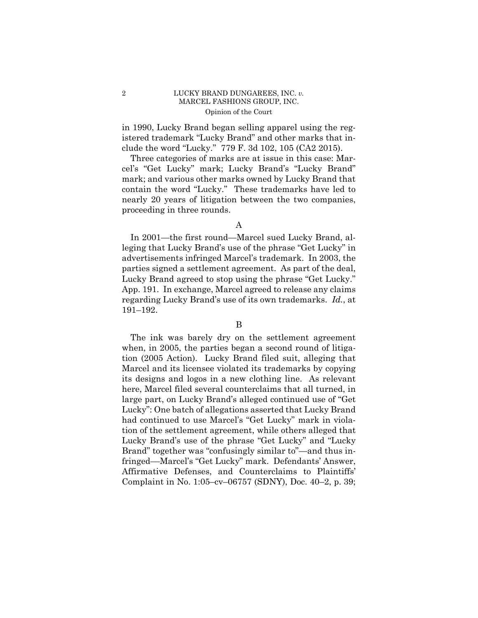# 2 LUCKY BRAND DUNGAREES, INC. *v.*  MARCEL FASHIONS GROUP, INC. Opinion of the Court

in 1990, Lucky Brand began selling apparel using the registered trademark "Lucky Brand" and other marks that include the word "Lucky." 779 F. 3d 102, 105 (CA2 2015).

Three categories of marks are at issue in this case: Marcel's "Get Lucky" mark; Lucky Brand's "Lucky Brand" mark; and various other marks owned by Lucky Brand that contain the word "Lucky." These trademarks have led to nearly 20 years of litigation between the two companies, proceeding in three rounds.

In 2001—the first round—Marcel sued Lucky Brand, alleging that Lucky Brand's use of the phrase "Get Lucky" in advertisements infringed Marcel's trademark. In 2003, the parties signed a settlement agreement. As part of the deal, Lucky Brand agreed to stop using the phrase "Get Lucky." App. 191. In exchange, Marcel agreed to release any claims regarding Lucky Brand's use of its own trademarks. *Id.*, at 191–192.

# B

The ink was barely dry on the settlement agreement when, in 2005, the parties began a second round of litigation (2005 Action). Lucky Brand filed suit, alleging that Marcel and its licensee violated its trademarks by copying its designs and logos in a new clothing line. As relevant here, Marcel filed several counterclaims that all turned, in large part, on Lucky Brand's alleged continued use of "Get Lucky": One batch of allegations asserted that Lucky Brand had continued to use Marcel's "Get Lucky" mark in violation of the settlement agreement, while others alleged that Lucky Brand's use of the phrase "Get Lucky" and "Lucky Brand" together was "confusingly similar to"—and thus infringed––Marcel's "Get Lucky" mark. Defendants' Answer, Affirmative Defenses, and Counterclaims to Plaintiffs' Complaint in No. 1:05–cv–06757 (SDNY), Doc. 40–2, p. 39;

A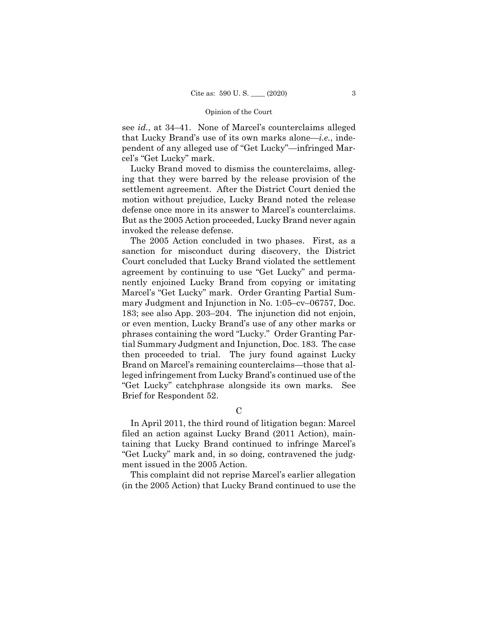see *id.*, at 34–41. None of Marcel's counterclaims alleged that Lucky Brand's use of its own marks alone—*i.e.*, independent of any alleged use of "Get Lucky"—infringed Marcel's "Get Lucky" mark.

Lucky Brand moved to dismiss the counterclaims, alleging that they were barred by the release provision of the settlement agreement. After the District Court denied the motion without prejudice, Lucky Brand noted the release defense once more in its answer to Marcel's counterclaims. But as the 2005 Action proceeded, Lucky Brand never again invoked the release defense.

 The 2005 Action concluded in two phases. First, as a sanction for misconduct during discovery, the District Court concluded that Lucky Brand violated the settlement agreement by continuing to use "Get Lucky" and permanently enjoined Lucky Brand from copying or imitating Marcel's "Get Lucky" mark. Order Granting Partial Summary Judgment and Injunction in No. 1:05–cv–06757, Doc. 183; see also App. 203–204. The injunction did not enjoin, or even mention, Lucky Brand's use of any other marks or phrases containing the word "Lucky." Order Granting Partial Summary Judgment and Injunction, Doc. 183. The case then proceeded to trial. The jury found against Lucky Brand on Marcel's remaining counterclaims—those that alleged infringement from Lucky Brand's continued use of the "Get Lucky" catchphrase alongside its own marks. See Brief for Respondent 52.

#### C

In April 2011, the third round of litigation began: Marcel filed an action against Lucky Brand (2011 Action), maintaining that Lucky Brand continued to infringe Marcel's "Get Lucky" mark and, in so doing, contravened the judgment issued in the 2005 Action.

This complaint did not reprise Marcel's earlier allegation (in the 2005 Action) that Lucky Brand continued to use the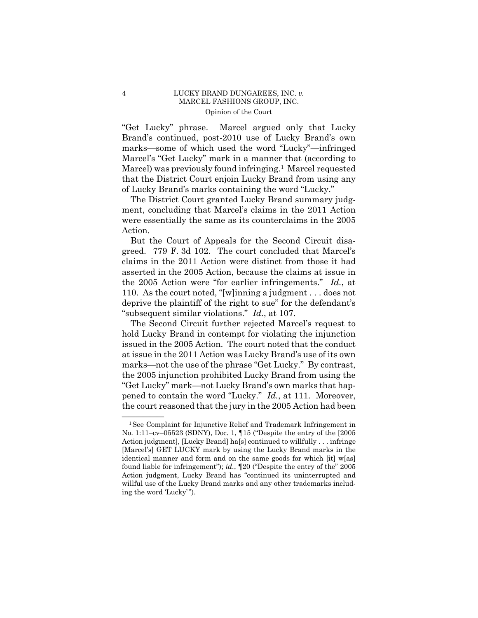# 4 LUCKY BRAND DUNGAREES, INC. *v.*  MARCEL FASHIONS GROUP, INC. Opinion of the Court

"Get Lucky" phrase. Marcel argued only that Lucky Brand's continued, post-2010 use of Lucky Brand's own marks—some of which used the word "Lucky"—infringed Marcel's "Get Lucky" mark in a manner that (according to Marcel) was previously found infringing.<sup>1</sup> Marcel requested that the District Court enjoin Lucky Brand from using any of Lucky Brand's marks containing the word "Lucky."

The District Court granted Lucky Brand summary judgment, concluding that Marcel's claims in the 2011 Action were essentially the same as its counterclaims in the 2005 Action.

But the Court of Appeals for the Second Circuit disagreed. 779 F. 3d 102. The court concluded that Marcel's claims in the 2011 Action were distinct from those it had asserted in the 2005 Action, because the claims at issue in the 2005 Action were "for earlier infringements." *Id.*, at 110. As the court noted, "[w]inning a judgment . . . does not deprive the plaintiff of the right to sue" for the defendant's "subsequent similar violations." *Id.*, at 107.

 pened to contain the word "Lucky." *Id.*, at 111. Moreover, The Second Circuit further rejected Marcel's request to hold Lucky Brand in contempt for violating the injunction issued in the 2005 Action. The court noted that the conduct at issue in the 2011 Action was Lucky Brand's use of its own marks—not the use of the phrase "Get Lucky." By contrast, the 2005 injunction prohibited Lucky Brand from using the "Get Lucky" mark—not Lucky Brand's own marks that hapthe court reasoned that the jury in the 2005 Action had been

 ${}^{1}$ See Complaint for Injunctive Relief and Trademark Infringement in No. 1:11–cv–05523 (SDNY), Doc. 1, ¶15 ("Despite the entry of the [2005 Action judgment], [Lucky Brand] ha[s] continued to willfully . . . infringe [Marcel's] GET LUCKY mark by using the Lucky Brand marks in the identical manner and form and on the same goods for which [it] w[as] found liable for infringement"); *id.*, ¶20 ("Despite the entry of the" 2005 Action judgment, Lucky Brand has "continued its uninterrupted and willful use of the Lucky Brand marks and any other trademarks including the word 'Lucky' ").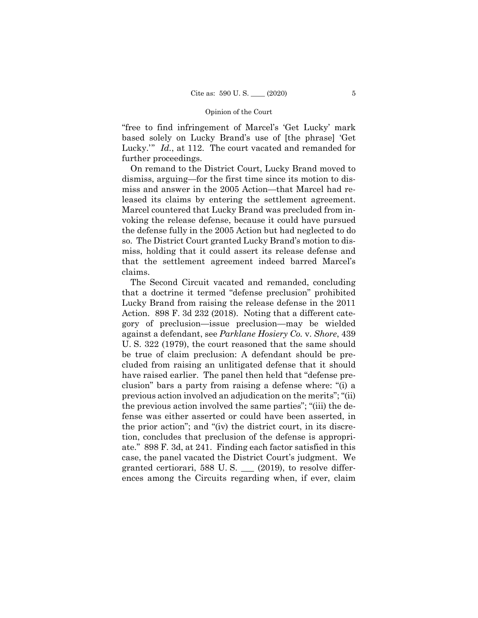"free to find infringement of Marcel's 'Get Lucky' mark based solely on Lucky Brand's use of [the phrase] 'Get Lucky.'" *Id.*, at 112. The court vacated and remanded for further proceedings.

On remand to the District Court, Lucky Brand moved to dismiss, arguing—for the first time since its motion to dismiss and answer in the 2005 Action—that Marcel had released its claims by entering the settlement agreement. Marcel countered that Lucky Brand was precluded from invoking the release defense, because it could have pursued the defense fully in the 2005 Action but had neglected to do so. The District Court granted Lucky Brand's motion to dismiss, holding that it could assert its release defense and that the settlement agreement indeed barred Marcel's claims.

The Second Circuit vacated and remanded, concluding that a doctrine it termed "defense preclusion" prohibited Lucky Brand from raising the release defense in the 2011 Action. 898 F. 3d 232 (2018). Noting that a different category of preclusion—issue preclusion—may be wielded against a defendant, see *Parklane Hosiery Co.* v. *Shore*, 439 U. S. 322 (1979), the court reasoned that the same should be true of claim preclusion: A defendant should be precluded from raising an unlitigated defense that it should have raised earlier. The panel then held that "defense preclusion" bars a party from raising a defense where: "(i) a previous action involved an adjudication on the merits"; "(ii) the previous action involved the same parties"; "(iii) the defense was either asserted or could have been asserted, in the prior action"; and "(iv) the district court, in its discretion, concludes that preclusion of the defense is appropriate." 898 F. 3d, at 241. Finding each factor satisfied in this case, the panel vacated the District Court's judgment. We granted certiorari, 588 U.S.  $\_\_$  (2019), to resolve differences among the Circuits regarding when, if ever, claim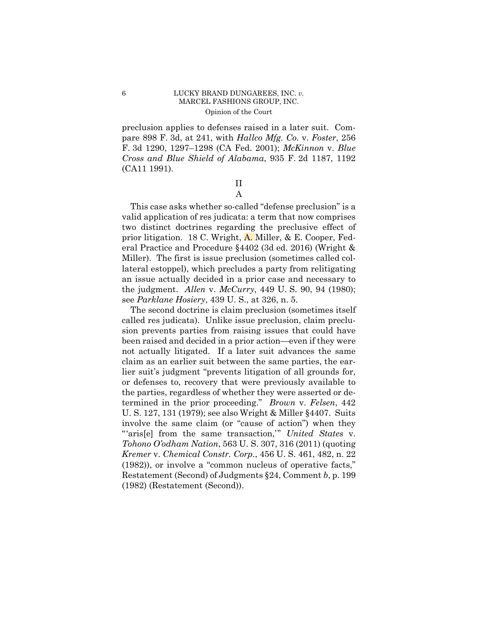# <span id="page-8-0"></span>6 LUCKY BRAND DUNGAREES, INC. *v.*  MARCEL FASHIONS GROUP, INC. Opinion of the Court

preclusion applies to defenses raised in a later suit. Compare 898 F. 3d, at 241, with *Hallco Mfg. Co.* v. *Foster*, 256 F. 3d 1290, 1297–1298 (CA Fed. 2001); *McKinnon* v. *Blue Cross and Blue Shield of Alabama*, 935 F. 2d 1187, 1192 (CA11 1991).

> II A

This case asks whether so-called "defense preclusion" is a valid application of res judicata: a term that now comprises two distinct doctrines regarding the preclusive effect of prior litigation. 18 C. Wright, A. Miller, & E. Cooper, Federal Practice and Procedure §4402 (3d ed. 2016) (Wright & Miller). The first is issue preclusion (sometimes called collateral estoppel), which precludes a party from relitigating an issue actually decided in a prior case and necessary to the judgment. *Allen* v. *McCurry*, 449 U. S. 90, 94 (1980); see *Parklane Hosiery*, 439 U. S., at 326, n. 5.

The second doctrine is claim preclusion (sometimes itself called res judicata). Unlike issue preclusion, claim preclusion prevents parties from raising issues that could have been raised and decided in a prior action—even if they were not actually litigated. If a later suit advances the same claim as an earlier suit between the same parties, the earlier suit's judgment "prevents litigation of all grounds for, or defenses to, recovery that were previously available to the parties, regardless of whether they were asserted or determined in the prior proceeding." *Brown* v. *Felsen*, 442 U. S. 127, 131 (1979); see also Wright & Miller §4407. Suits involve the same claim (or "cause of action") when they "'aris[e] from the same transaction,'" *United States* v. *Tohono O'odham Nation*, 563 U. S. 307, 316 (2011) (quoting *Kremer* v. *Chemical Constr. Corp.*, 456 U. S. 461, 482, n. 22 (1982)), or involve a "common nucleus of operative facts," Restatement (Second) of Judgments §24, Comment *b*, p. 199 (1982) (Restatement (Second)).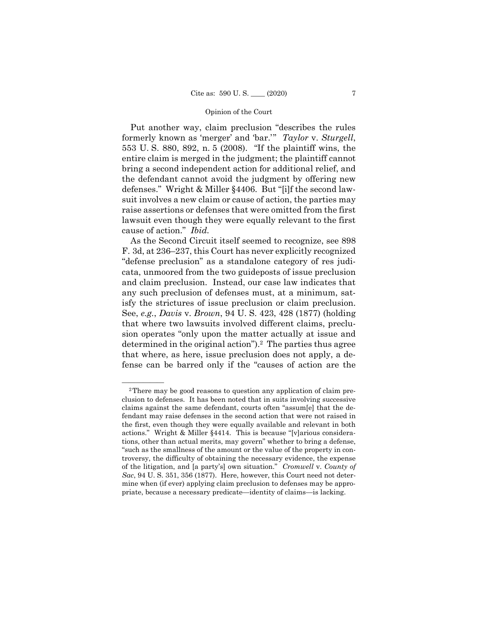Put another way, claim preclusion "describes the rules formerly known as 'merger' and 'bar.'" *Taylor* v. *Sturgell*, 553 U. S. 880, 892, n. 5 (2008). "If the plaintiff wins, the entire claim is merged in the judgment; the plaintiff cannot bring a second independent action for additional relief, and the defendant cannot avoid the judgment by offering new defenses." Wright & Miller §4406. But "[i]f the second lawsuit involves a new claim or cause of action, the parties may raise assertions or defenses that were omitted from the first lawsuit even though they were equally relevant to the first cause of action." *Ibid.* 

As the Second Circuit itself seemed to recognize, see 898 F. 3d, at 236–237, this Court has never explicitly recognized "defense preclusion" as a standalone category of res judicata, unmoored from the two guideposts of issue preclusion and claim preclusion. Instead, our case law indicates that any such preclusion of defenses must, at a minimum, satisfy the strictures of issue preclusion or claim preclusion. See, *e.g.*, *Davis* v. *Brown*, 94 U. S. 423, 428 (1877) (holding that where two lawsuits involved different claims, preclusion operates "only upon the matter actually at issue and determined in the original action").<sup>2</sup> The parties thus agree that where, as here, issue preclusion does not apply, a defense can be barred only if the "causes of action are the

<sup>&</sup>lt;sup>2</sup>There may be good reasons to question any application of claim preclusion to defenses. It has been noted that in suits involving successive claims against the same defendant, courts often "assum[e] that the defendant may raise defenses in the second action that were not raised in the first, even though they were equally available and relevant in both actions." Wright & Miller §4414. This is because "[v]arious considerations, other than actual merits, may govern" whether to bring a defense, "such as the smallness of the amount or the value of the property in controversy, the difficulty of obtaining the necessary evidence, the expense of the litigation, and [a party's] own situation." *Cromwell* v. *County of Sac*, 94 U. S. 351, 356 (1877). Here, however, this Court need not determine when (if ever) applying claim preclusion to defenses may be appropriate, because a necessary predicate—identity of claims—is lacking.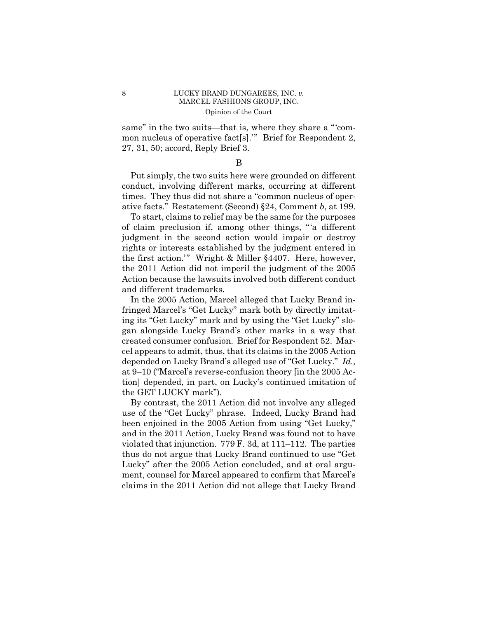# 8 LUCKY BRAND DUNGAREES, INC. *v*. MARCEL FASHIONS GROUP, INC. Opinion of the Court

same" in the two suits—that is, where they share a "'common nucleus of operative fact[s].'" Brief for Respondent 2, 27, 31, 50; accord, Reply Brief 3.

B

Put simply, the two suits here were grounded on different conduct, involving different marks, occurring at different times. They thus did not share a "common nucleus of operative facts." Restatement (Second) §24, Comment *b*, at 199.

To start, claims to relief may be the same for the purposes of claim preclusion if, among other things, "'a different judgment in the second action would impair or destroy rights or interests established by the judgment entered in the first action.'" Wright & Miller §4407. Here, however, the 2011 Action did not imperil the judgment of the 2005 Action because the lawsuits involved both different conduct and different trademarks.

In the 2005 Action, Marcel alleged that Lucky Brand infringed Marcel's "Get Lucky" mark both by directly imitating its "Get Lucky" mark and by using the "Get Lucky" slogan alongside Lucky Brand's other marks in a way that created consumer confusion. Brief for Respondent 52. Marcel appears to admit, thus, that its claims in the 2005 Action depended on Lucky Brand's alleged use of "Get Lucky." *Id.,*  at 9–10 ("Marcel's reverse-confusion theory [in the 2005 Action] depended, in part, on Lucky's continued imitation of the GET LUCKY mark").

By contrast, the 2011 Action did not involve any alleged use of the "Get Lucky" phrase. Indeed, Lucky Brand had been enjoined in the 2005 Action from using "Get Lucky," and in the 2011 Action, Lucky Brand was found not to have violated that injunction. 779 F. 3d, at 111–112. The parties thus do not argue that Lucky Brand continued to use "Get Lucky" after the 2005 Action concluded, and at oral argument, counsel for Marcel appeared to confirm that Marcel's claims in the 2011 Action did not allege that Lucky Brand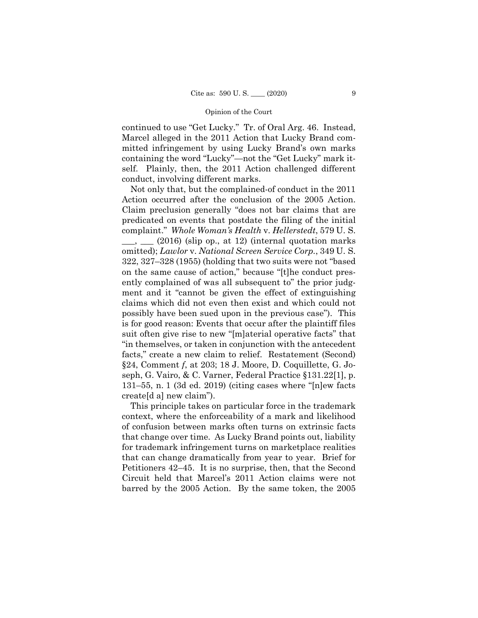continued to use "Get Lucky." Tr. of Oral Arg. 46. Instead, Marcel alleged in the 2011 Action that Lucky Brand committed infringement by using Lucky Brand's own marks containing the word "Lucky"—not the "Get Lucky" mark itself. Plainly, then, the 2011 Action challenged different conduct, involving different marks.

Not only that, but the complained-of conduct in the 2011 Action occurred after the conclusion of the 2005 Action. Claim preclusion generally "does not bar claims that are predicated on events that postdate the filing of the initial complaint." *Whole Woman's Health* v. *Hellerstedt*, 579 U. S.

 $(2016)$  (slip op., at 12) (internal quotation marks omitted); *Lawlor* v. *National Screen Service Corp.*, 349 U. S. 322, 327–328 (1955) (holding that two suits were not "based on the same cause of action," because "[t]he conduct presently complained of was all subsequent to" the prior judgment and it "cannot be given the effect of extinguishing claims which did not even then exist and which could not possibly have been sued upon in the previous case"). This is for good reason: Events that occur after the plaintiff files suit often give rise to new "[m]aterial operative facts" that "in themselves, or taken in conjunction with the antecedent facts," create a new claim to relief. Restatement (Second) §24, Comment *f*, at 203; 18 J. Moore, D. Coquillette, G. Joseph, G. Vairo, & C. Varner, Federal Practice §131.22[1], p. 131–55, n. 1 (3d ed. 2019) (citing cases where "[n]ew facts create[d a] new claim").

 that change over time. As Lucky Brand points out, liability This principle takes on particular force in the trademark context, where the enforceability of a mark and likelihood of confusion between marks often turns on extrinsic facts for trademark infringement turns on marketplace realities that can change dramatically from year to year. Brief for Petitioners 42–45. It is no surprise, then, that the Second Circuit held that Marcel's 2011 Action claims were not barred by the 2005 Action. By the same token, the 2005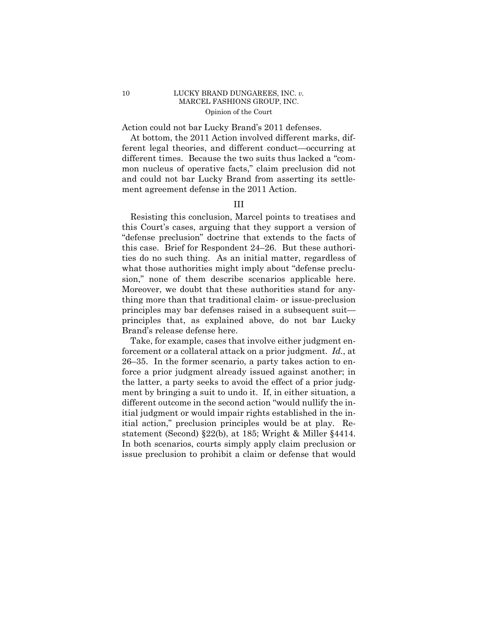# 10 LUCKY BRAND DUNGAREES, INC. *v*. MARCEL FASHIONS GROUP, INC. Opinion of the Court

Action could not bar Lucky Brand's 2011 defenses.

At bottom, the 2011 Action involved different marks, different legal theories, and different conduct—occurring at different times. Because the two suits thus lacked a "common nucleus of operative facts," claim preclusion did not and could not bar Lucky Brand from asserting its settlement agreement defense in the 2011 Action.

# III

 sion," none of them describe scenarios applicable here. Resisting this conclusion, Marcel points to treatises and this Court's cases, arguing that they support a version of "defense preclusion" doctrine that extends to the facts of this case. Brief for Respondent 24–26. But these authorities do no such thing. As an initial matter, regardless of what those authorities might imply about "defense preclu-Moreover, we doubt that these authorities stand for anything more than that traditional claim- or issue*-*preclusion principles may bar defenses raised in a subsequent suit principles that, as explained above, do not bar Lucky Brand's release defense here.

Take, for example, cases that involve either judgment enforcement or a collateral attack on a prior judgment. *Id.*, at 26–35. In the former scenario, a party takes action to enforce a prior judgment already issued against another; in the latter, a party seeks to avoid the effect of a prior judgment by bringing a suit to undo it. If, in either situation, a different outcome in the second action "would nullify the initial judgment or would impair rights established in the initial action," preclusion principles would be at play. Restatement (Second) §22(b), at 185; Wright & Miller §4414. In both scenarios, courts simply apply claim preclusion or issue preclusion to prohibit a claim or defense that would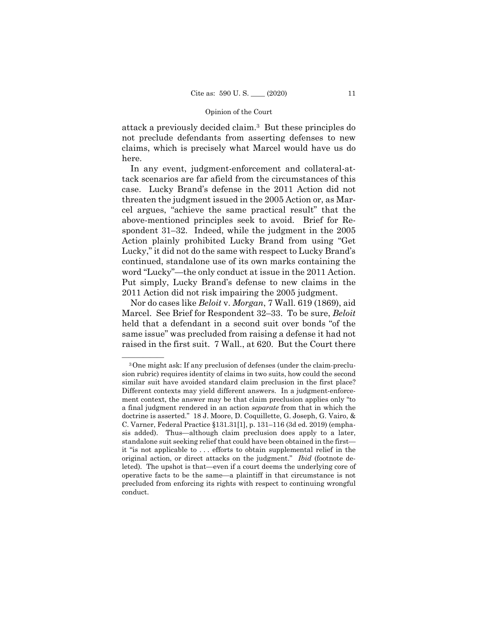attack a previously decided claim.3 But these principles do not preclude defendants from asserting defenses to new claims, which is precisely what Marcel would have us do here.

In any event, judgment-enforcement and collateral-attack scenarios are far afield from the circumstances of this case. Lucky Brand's defense in the 2011 Action did not threaten the judgment issued in the 2005 Action or, as Marcel argues, "achieve the same practical result" that the above-mentioned principles seek to avoid. Brief for Respondent 31–32. Indeed, while the judgment in the 2005 Action plainly prohibited Lucky Brand from using "Get Lucky," it did not do the same with respect to Lucky Brand's continued, standalone use of its own marks containing the word "Lucky"—the only conduct at issue in the 2011 Action. Put simply, Lucky Brand's defense to new claims in the 2011 Action did not risk impairing the 2005 judgment.

Nor do cases like *Beloit* v. *Morgan*, 7 Wall. 619 (1869), aid Marcel. See Brief for Respondent 32–33. To be sure, *Beloit*  held that a defendant in a second suit over bonds "of the same issue" was precluded from raising a defense it had not raised in the first suit. 7 Wall., at 620. But the Court there

<sup>&</sup>lt;sup>3</sup>One might ask: If any preclusion of defenses (under the claim-preclusion rubric) requires identity of claims in two suits, how could the second similar suit have avoided standard claim preclusion in the first place? Different contexts may yield different answers. In a judgment-enforcement context, the answer may be that claim preclusion applies only "to a final judgment rendered in an action *separate* from that in which the doctrine is asserted." 18 J. Moore, D. Coquillette, G. Joseph, G. Vairo, & C. Varner, Federal Practice §131.31[1], p. 131–116 (3d ed. 2019) (emphasis added). Thus—although claim preclusion does apply to a later, standalone suit seeking relief that could have been obtained in the first it "is not applicable to . . . efforts to obtain supplemental relief in the original action, or direct attacks on the judgment." *Ibid* (footnote deleted)*.* The upshot is that—even if a court deems the underlying core of operative facts to be the same—a plaintiff in that circumstance is not precluded from enforcing its rights with respect to continuing wrongful conduct.